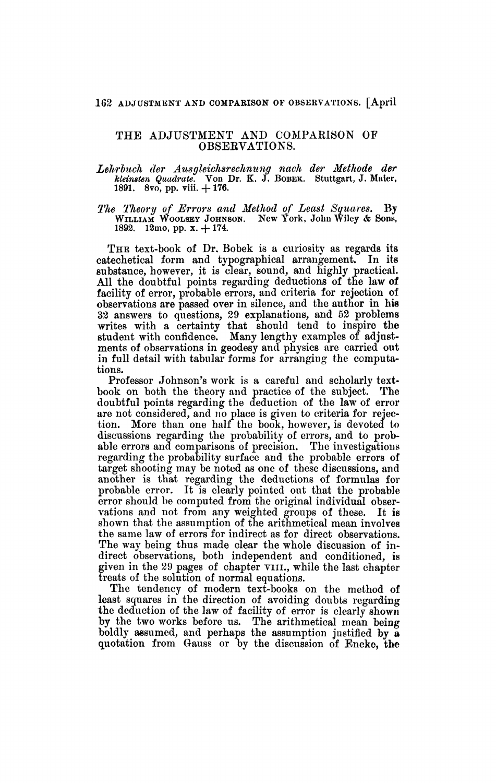## **162 ADJUSTMENT AND COMPABISOK OF OBSERVATIONS. [April**

## THE ADJUSTMENT AND COMPARISON OF OBSERVATIONS.

*Lehrluch der Ausgleichsrechnung nach der Methode der kleinsten Quadrate.* Von Dr. K. J. BOBEK. Stuttgart, J. Maier, 1891. 8vo, pp. viii. +176.

*The Theory of Errors and Method of Least Squares.* By WILLIAM WOOLSEY JOHNSON. New York, John Wiley *&* Sons, 1892. l2mo, pp. x. + 174.

THE text-book of Dr. Bobek is a curiosity as regards its catechetical form and typographical arrangement. In its substance, however, it is clear, sound, and highly practical. All the doubtful points regarding deductions of the law of facility of error, probable errors, and criteria for rejection of observations are passed over in silence, and the author in his 32 answers to questions, 29 explanations, and 52 problems writes with a certainty that should tend to inspire the student with confidence. Many lengthy examples of adjustments of observations in geodesy and physics are carried out in full detail with tabular forms for arranging the computations.

Professor Johnson's work is a careful and scholarly textbook on both the theory and practice of the subject. The doubtful points regarding the deduction of the law of error are not considered, and no place is given to criteria for rejection. More than one half the book, however, is devoted to discussions regarding the probability of errors, and to probable errors and comparisons of precision. The investigations regarding the probability surface and the probable errors of target shooting may be noted as one of these discussions, and another is that regarding the deductions of formulas for probable error. It is clearly pointed out that the probable error should be computed from the original individual observations and not from any weighted groups of these. It is shown that the assumption of the arithmetical mean involves the same law of errors for indirect as for direct observations. The way being thus made clear the whole discussion of indirect observations, both independent and conditioned, is given in the 29 pages of chapter VIII., while the last chapter treats of the solution of normal equations.

The tendency of modern text-books on the method of least squares in the direction of avoiding doubts regarding the deduction of the law of facility of error is clearly shown by the two works before us. The arithmetical mean being boldly assumed, and perhaps the assumption justified by a quotation from Gauss or by the discussion of Encke, the